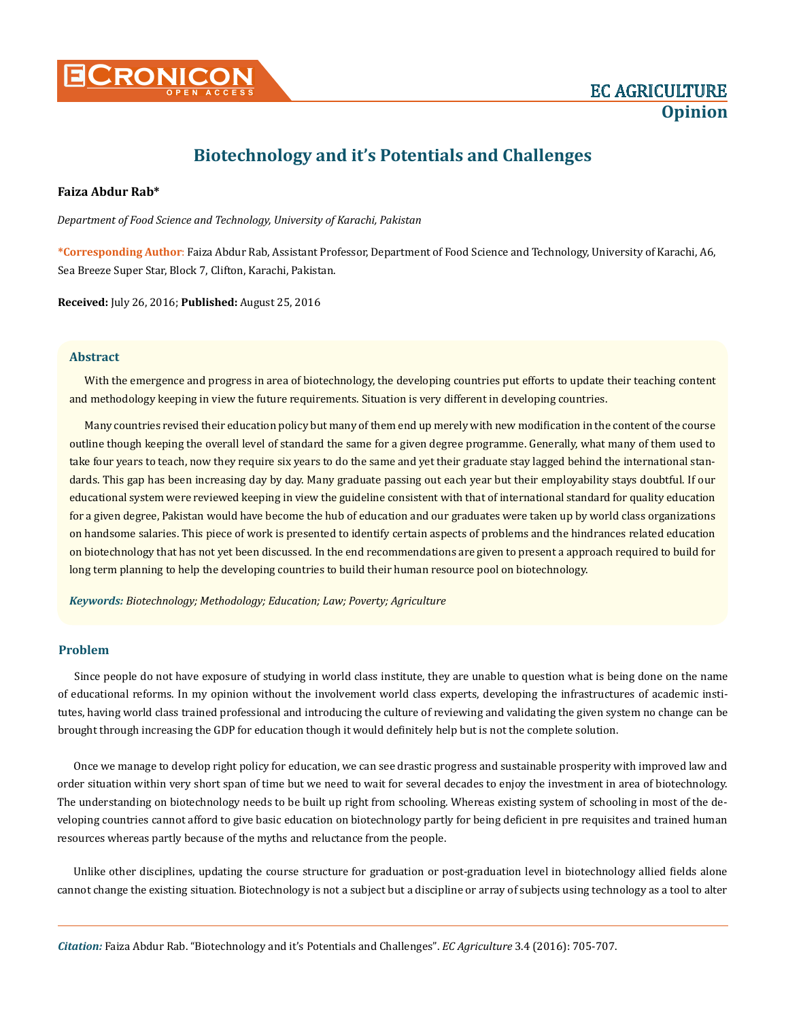

# **Biotechnology and it's Potentials and Challenges**

### **Faiza Abdur Rab\***

*Department of Food Science and Technology, University of Karachi, Pakistan*

**\*Corresponding Author**: Faiza Abdur Rab, Assistant Professor, Department of Food Science and Technology, University of Karachi, A6, Sea Breeze Super Star, Block 7, Clifton, Karachi, Pakistan.

**Received:** July 26, 2016; **Published:** August 25, 2016

#### **Abstract**

With the emergence and progress in area of biotechnology, the developing countries put efforts to update their teaching content and methodology keeping in view the future requirements. Situation is very different in developing countries.

Many countries revised their education policy but many of them end up merely with new modification in the content of the course outline though keeping the overall level of standard the same for a given degree programme. Generally, what many of them used to take four years to teach, now they require six years to do the same and yet their graduate stay lagged behind the international standards. This gap has been increasing day by day. Many graduate passing out each year but their employability stays doubtful. If our educational system were reviewed keeping in view the guideline consistent with that of international standard for quality education for a given degree, Pakistan would have become the hub of education and our graduates were taken up by world class organizations on handsome salaries. This piece of work is presented to identify certain aspects of problems and the hindrances related education on biotechnology that has not yet been discussed. In the end recommendations are given to present a approach required to build for long term planning to help the developing countries to build their human resource pool on biotechnology.

*Keywords: Biotechnology; Methodology; Education; Law; Poverty; Agriculture*

# **Problem**

Since people do not have exposure of studying in world class institute, they are unable to question what is being done on the name of educational reforms. In my opinion without the involvement world class experts, developing the infrastructures of academic institutes, having world class trained professional and introducing the culture of reviewing and validating the given system no change can be brought through increasing the GDP for education though it would definitely help but is not the complete solution.

Once we manage to develop right policy for education, we can see drastic progress and sustainable prosperity with improved law and order situation within very short span of time but we need to wait for several decades to enjoy the investment in area of biotechnology. The understanding on biotechnology needs to be built up right from schooling. Whereas existing system of schooling in most of the developing countries cannot afford to give basic education on biotechnology partly for being deficient in pre requisites and trained human resources whereas partly because of the myths and reluctance from the people.

Unlike other disciplines, updating the course structure for graduation or post-graduation level in biotechnology allied fields alone cannot change the existing situation. Biotechnology is not a subject but a discipline or array of subjects using technology as a tool to alter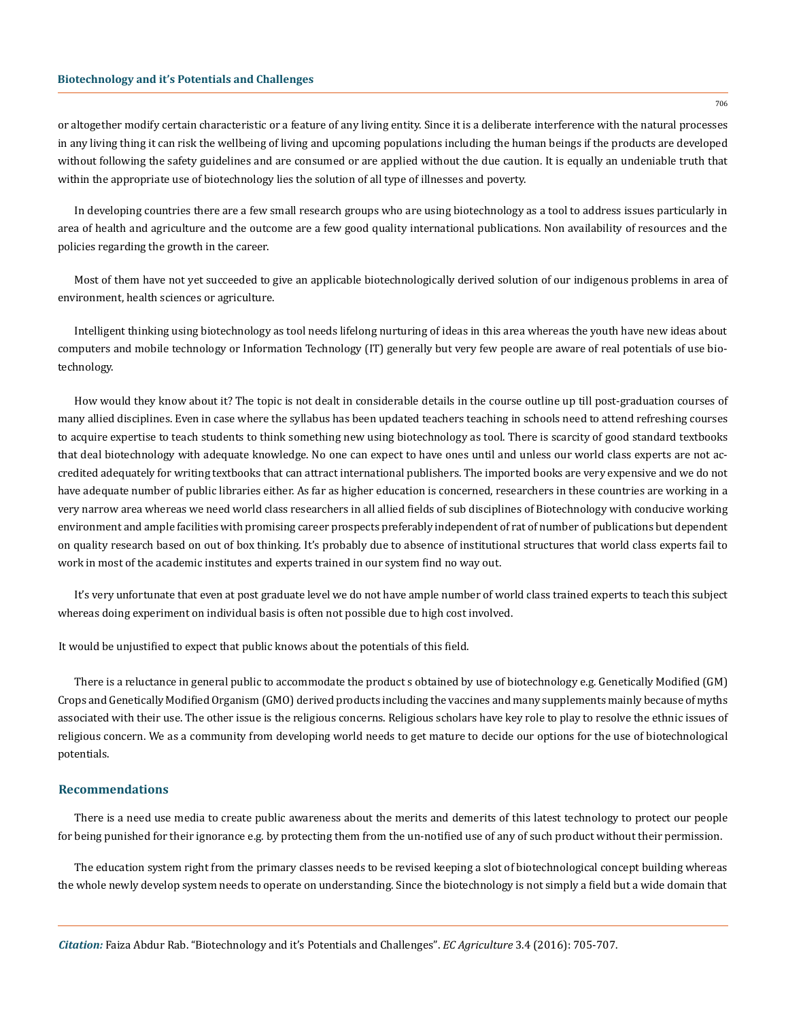or altogether modify certain characteristic or a feature of any living entity. Since it is a deliberate interference with the natural processes in any living thing it can risk the wellbeing of living and upcoming populations including the human beings if the products are developed without following the safety guidelines and are consumed or are applied without the due caution. It is equally an undeniable truth that within the appropriate use of biotechnology lies the solution of all type of illnesses and poverty.

In developing countries there are a few small research groups who are using biotechnology as a tool to address issues particularly in area of health and agriculture and the outcome are a few good quality international publications. Non availability of resources and the policies regarding the growth in the career.

Most of them have not yet succeeded to give an applicable biotechnologically derived solution of our indigenous problems in area of environment, health sciences or agriculture.

Intelligent thinking using biotechnology as tool needs lifelong nurturing of ideas in this area whereas the youth have new ideas about computers and mobile technology or Information Technology (IT) generally but very few people are aware of real potentials of use biotechnology.

How would they know about it? The topic is not dealt in considerable details in the course outline up till post-graduation courses of many allied disciplines. Even in case where the syllabus has been updated teachers teaching in schools need to attend refreshing courses to acquire expertise to teach students to think something new using biotechnology as tool. There is scarcity of good standard textbooks that deal biotechnology with adequate knowledge. No one can expect to have ones until and unless our world class experts are not accredited adequately for writing textbooks that can attract international publishers. The imported books are very expensive and we do not have adequate number of public libraries either. As far as higher education is concerned, researchers in these countries are working in a very narrow area whereas we need world class researchers in all allied fields of sub disciplines of Biotechnology with conducive working environment and ample facilities with promising career prospects preferably independent of rat of number of publications but dependent on quality research based on out of box thinking. It's probably due to absence of institutional structures that world class experts fail to work in most of the academic institutes and experts trained in our system find no way out.

It's very unfortunate that even at post graduate level we do not have ample number of world class trained experts to teach this subject whereas doing experiment on individual basis is often not possible due to high cost involved.

It would be unjustified to expect that public knows about the potentials of this field.

There is a reluctance in general public to accommodate the product s obtained by use of biotechnology e.g. Genetically Modified (GM) Crops and Genetically Modified Organism (GMO) derived products including the vaccines and many supplements mainly because of myths associated with their use. The other issue is the religious concerns. Religious scholars have key role to play to resolve the ethnic issues of religious concern. We as a community from developing world needs to get mature to decide our options for the use of biotechnological potentials.

#### **Recommendations**

There is a need use media to create public awareness about the merits and demerits of this latest technology to protect our people for being punished for their ignorance e.g. by protecting them from the un-notified use of any of such product without their permission.

The education system right from the primary classes needs to be revised keeping a slot of biotechnological concept building whereas the whole newly develop system needs to operate on understanding. Since the biotechnology is not simply a field but a wide domain that

706